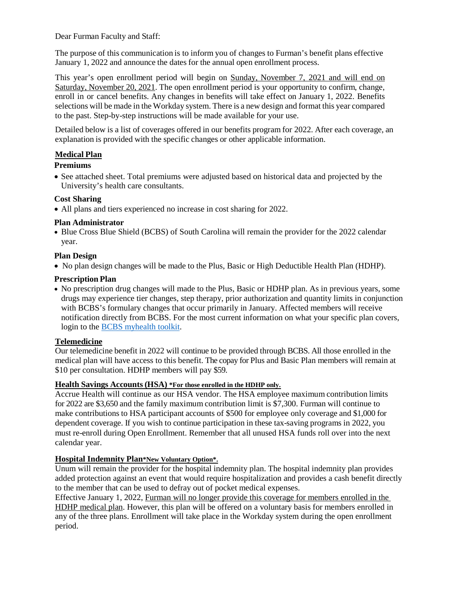Dear Furman Faculty and Staff:

The purpose of this communication is to inform you of changes to Furman's benefit plans effective January 1, 2022 and announce the dates for the annual open enrollment process.

This year's open enrollment period will begin on Sunday, November 7, 2021 and will end on Saturday, November 20, 2021. The open enrollment period is your opportunity to confirm, change, enroll in or cancel benefits. Any changes in benefits will take effect on January 1, 2022. Benefits selections will be made in the Workday system. There is a new design and format this year compared to the past. Step-by-step instructions will be made available for your use.

Detailed below is a list of coverages offered in our benefits program for 2022. After each coverage, an explanation is provided with the specific changes or other applicable information.

## **Medical Plan**

#### **Premiums**

• See attached sheet. Total premiums were adjusted based on historical data and projected by the University's health care consultants.

#### **Cost Sharing**

• All plans and tiers experienced no increase in cost sharing for 2022.

#### **Plan Administrator**

• Blue Cross Blue Shield (BCBS) of South Carolina will remain the provider for the 2022 calendar year.

#### **Plan Design**

• No plan design changes will be made to the Plus, Basic or High Deductible Health Plan (HDHP).

#### **Prescription Plan**

• No prescription drug changes will made to the Plus, Basic or HDHP plan. As in previous years, some drugs may experience tier changes, step therapy, prior authorization and quantity limits in conjunction with BCBS's formulary changes that occur primarily in January. Affected members will receive notification directly from BCBS. For the most current information on what your specific plan covers, login to the [BCBS myhealth toolkit.](https://www.southcarolinablues.com/web/public/brands/sc/members/manage-your-plan/my-health-toolkit/)

## **Telemedicine**

Our telemedicine benefit in 2022 will continue to be provided through BCBS. All those enrolled in the medical plan will have access to this benefit. The copay for Plus and Basic Plan members will remain at \$10 per consultation. HDHP members will pay \$59.

#### **Health Savings Accounts (HSA) \*For those enrolled in the HDHP only.**

Accrue Health will continue as our HSA vendor. The HSA employee maximum contribution limits for 2022 are \$3,650 and the family maximum contribution limit is \$7,300. Furman will continue to make contributions to HSA participant accounts of \$500 for employee only coverage and \$1,000 for dependent coverage. If you wish to continue participation in these tax-saving programs in 2022, you must re-enroll during Open Enrollment. Remember that all unused HSA funds roll over into the next calendar year.

#### **Hospital Indemnity Plan\*New Voluntary Option\*.**

Unum will remain the provider for the hospital indemnity plan. The hospital indemnity plan provides added protection against an event that would require hospitalization and provides a cash benefit directly to the member that can be used to defray out of pocket medical expenses.

Effective January 1, 2022, Furman will no longer provide this coverage for members enrolled in the HDHP medical plan. However, this plan will be offered on a voluntary basis for members enrolled in any of the three plans. Enrollment will take place in the Workday system during the open enrollment period.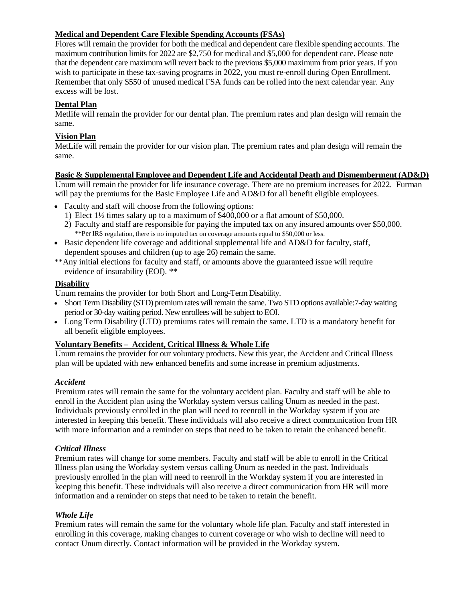## **Medical and Dependent Care Flexible Spending Accounts (FSAs)**

Flores will remain the provider for both the medical and dependent care flexible spending accounts. The maximum contribution limits for 2022 are \$2,750 for medical and \$5,000 for dependent care. Please note that the dependent care maximum will revert back to the previous \$5,000 maximum from prior years. If you wish to participate in these tax-saving programs in 2022, you must re-enroll during Open Enrollment. Remember that only \$550 of unused medical FSA funds can be rolled into the next calendar year. Any excess will be lost.

# **Dental Plan**

Metlife will remain the provider for our dental plan. The premium rates and plan design will remain the same.

## **Vision Plan**

MetLife will remain the provider for our vision plan. The premium rates and plan design will remain the same.

## **Basic & Supplemental Employee and Dependent Life and Accidental Death and Dismemberment (AD&D)**

Unum will remain the provider for life insurance coverage. There are no premium increases for 2022. Furman will pay the premiums for the Basic Employee Life and AD&D for all benefit eligible employees.

- Faculty and staff will choose from the following options:
	- 1) Elect 1½ times salary up to a maximum of \$400,000 or a flat amount of \$50,000.
	- 2) Faculty and staff are responsible for paying the imputed tax on any insured amounts over \$50,000. \*\*Per IRS regulation, there is no imputed tax on coverage amounts equal to \$50,000 or less.
- Basic dependent life coverage and additional supplemental life and AD&D for faculty, staff, dependent spouses and children (up to age 26) remain the same.
- \*\*Any initial elections for faculty and staff, or amounts above the guaranteed issue will require evidence of insurability (EOI). \*\*

## **Disability**

Unum remains the provider for both Short and Long-Term Disability.

- Short Term Disability (STD) premium rates will remain the same. Two STD options available:7-day waiting period or 30-day waiting period. New enrollees will be subject to EOI.
- Long Term Disability (LTD) premiums rates will remain the same. LTD is a mandatory benefit for all benefit eligible employees.

## **Voluntary Benefits – Accident, Critical Illness & Whole Life**

Unum remains the provider for our voluntary products. New this year, the Accident and Critical Illness plan will be updated with new enhanced benefits and some increase in premium adjustments.

## *Accident*

Premium rates will remain the same for the voluntary accident plan. Faculty and staff will be able to enroll in the Accident plan using the Workday system versus calling Unum as needed in the past. Individuals previously enrolled in the plan will need to reenroll in the Workday system if you are interested in keeping this benefit. These individuals will also receive a direct communication from HR with more information and a reminder on steps that need to be taken to retain the enhanced benefit.

## *Critical Illness*

Premium rates will change for some members. Faculty and staff will be able to enroll in the Critical Illness plan using the Workday system versus calling Unum as needed in the past. Individuals previously enrolled in the plan will need to reenroll in the Workday system if you are interested in keeping this benefit. These individuals will also receive a direct communication from HR will more information and a reminder on steps that need to be taken to retain the benefit.

## *Whole Life*

Premium rates will remain the same for the voluntary whole life plan. Faculty and staff interested in enrolling in this coverage, making changes to current coverage or who wish to decline will need to contact Unum directly. Contact information will be provided in the Workday system.